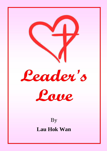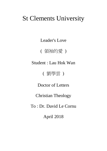# St Clements University

Leader's Love

( 領袖的愛 )

Student : Lau Hok Wan

( 劉學雲 )

Doctor of Letters

Christian Theology

To : Dr. David Le Cornu

April 2018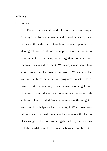### Summary

### 1. Preface

There is a special kind of force between people. Although this force is invisible and cannot be heard, it can be seen through the interaction between people. Its ideological form continues to appear in our surrounding environment. It is not easy to be forgotten. Someone born for love, or even died for it. We always read some love stories, so we can feel love within words. We can also feel love in the films or television programs. What is love? Love is like a weapon, it can make people get hurt. However it is not dangerous. Sometimes it makes our life so beautiful and excited. We cannot measure the weight of love, but love helps us feel the weight. When love goes into our heart, we will understand more about the feeling of its weight. The more we struggle in love, the more we feel the hardship in love. Love is born in our life. It is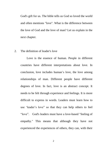God's gift for us. The bible tells us God so loved the world and often mentions "love". What is the difference between the love of God and the love of man? Let us explain in the next chapter.

### 2. The definition of leader's love

Love is the essence of human. People in different countries have different interpretations about love. In conclusion, love includes human's love, the love among relationships of man. Different people have different degrees of love. In fact, love is an abstract concept. It needs to be felt through experience and feelings. It is more difficult to express in words. Leaders must learn how to use 'leader's love" so that they can help others to feel "love". God's leaders must have a love-based "feeling of empathy." This means that although they have not experienced the experiences of others, they can, with their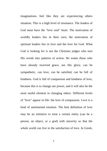imaginations, feel like they are experiencing others situation. This is a high level of resonance. The leaders of God must have the "love soul" heart. The motivation of worldly leaders lies in their own; the motivation of spiritual leaders lies in love and the love for God. What God is looking for is not the Christian judges who turn His words into patterns of action. He wants those who have already received grace, see His glory, can be sympathetic, can love, can be satisfied, can be full of kindness. God is full of compassion and kindness of love, because this is to change our power, and it will also be the most useful element in changing others. Different levels of "love" appear in life: the love of compassion. Love is a kind of sentimental emotion. The best definition of love may be an initiative to treat a certain entity (can be a person, an object, or a god) with sincerity so that the whole world can live in the satisfaction of love. In Greek,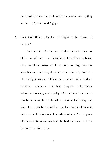the word love can be explained as a several words, they are "eros", "philia" and "agape".

3. First Corinthians Chapter 13 Explains the "Love of Leaders"

 Paul said in 1 Corinthians 13 that the basic meaning of love is patience. Love is kindness. Love does not boast, does not show arrogance. Love does not shy, does not seek his own benefits, does not count on evil, does not like unrighteousness. This is the character of a leader : patience, kindness, humility, respect, selflessness, tolerance, honesty, and loyalty. 1Corinthians Chapter 13 can be seen as the relationship between leadership and love. Love can be defined as the hard work of man in order to meet the reasonable needs of others. Also to place others aspirations and needs in the first place and seek the best interests for others.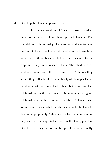### 4. David applies leadership love to life

 David made good use of "Leader's Love". Leaders must know how to love their spiritual leaders. The foundation of the ministry of a spiritual leader is to have faith in God and to love God. Leaders must know how to respect others because before they wanted to be respected, they must respect others. The obedience of leaders is to set aside their own interests. Although they suffer, they still submit to the authority of the upper leader. Leaders must not only lead others but also establish relationships with the team. Maintaining a good relationship with the team is friendship. A leader who knows how to establish friendship can enable the team to develop appropriately. When leaders feel the compassion, they can exert unexpected effects on the team, just like David. This is a group of humble people who eventually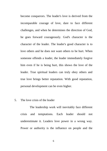become conquerors. The leader's love is derived from the incomparable courage of love, dare to face different challenges, and when he determines the direction of God, he goes forward courageously. God's character is the character of the leader. The leader's good character is to love others and he does not want others to be hurt. When someone offends a leader, the leader immediately forgive him even if he is being hurt, this shows the love of the leader. True spiritual leaders can truly obey others and true love brings better reputation. With good reputation, personal development can be even higher.

### 5. The love crisis of the leader

 The leadership work will inevitably face different crisis and temptations. Each leader should not underestimate it. Leaders love power in a wrong way. Power or authority is the influence on people and the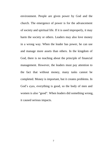environment. People are given power by God and the church. The emergence of power is for the advancement of society and spiritual life. If it is used improperly, it may harm the society or others. Leaders may also love money in a wrong way. When the leader has power, he can use and manage more assets than others. In the kingdom of God, there is no teaching about the principle of financial management. However, the leaders must pay attention to the fact that without money, many tasks cannot be completed. Money is important, but it creates problems. In God's eyes, everything is good, so the body of men and women is also "good". When leaders did something wrong, it caused serious impacts.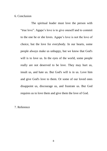6. Conclusion

 The spiritual leader must love the person with "true love". Agape's love is to give oneself and to commit to the one he or she loves. Agape's love is not the love of choice, but the love for everybody. In our hearts, some people always make us unhappy, but we know that God's will is to love us. In the eyes of the world, some people really are not deserved to be love. They may hurt us, insult us, and hate us. But God's will is in us. Love him and give God's love to them. Or some of our loved ones disappoint us, discourage us, and frustrate us. But God requires us to love them and give them the love of God.

### 7. Reference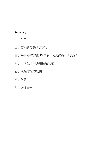# Summary

- 一、引言
- 二、領袖的愛的「定義」
- 三、哥林多前書第 13 章對「領袖的愛」的闡述
- 四、大衛生命中應用領袖的愛
- 五、領袖的愛的危機

# 六、結語

七、參考書目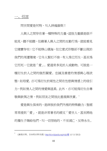# 一、引言

 $\overline{a}$ 

問世間愛是何物,叫人神魂顛倒!

人與人之間存在著一種特殊的力量,這股力量雖是眼不 能見,聽不能聽,但藉著人與人之間的互動行為,就能看見 它確實存在;它不能移山填海,但它意式形態卻不斷出現於 我們的周遭環境,它令人緊扣不捨,有人為它而生,甚至為 它而死—它就是「愛」。愛通常多見[於人或](http://zh.wikipedia.org/wiki/%E4%BA%BA)[動物。](http://zh.wikipedia.org/wiki/%E5%8B%95%E7%89%A9)可說是一 種衍生於人之間的強烈關愛[、忠誠及](http://zh.wikipedia.org/wiki/%E5%BF%A0%E8%AA%A0)善意的情感與心理狀 態,[如母愛。](http://zh.wikipedia.org/wiki/%E6%AF%8D%E6%84%9B)亦可為衍生於兩性之間[在性慾與](http://zh.wikipedia.org/wiki/%E6%80%A7%E6%AC%B2)[情感上](http://zh.wikipedia.org/wiki/%E6%83%85%E6%84%9F)的吸引 力,例[如情人之](http://zh.wikipedia.org/wiki/%E6%83%85%E4%BA%BA)間的情愛與溫柔。此外,亦可能為衍生自尊 敬與欽佩之情,例[如朋友之](http://zh.wikipedia.org/wiki/%E6%9C%8B%E5%8F%8B)間彼此重視與欣賞。

愛是與生俱來的,是神放於我們內裡的特殊動力;聖經 常常提到「愛」,就是非常著名的經文「愛世人,甚至將祂 的獨生子賜給他們,叫一切信祂的,不至減亡,反得永生。

<sup>《</sup>維基百科, 自由的百科全書》[http://zh.wikipedia.org/wiki/](http://zh.wikipedia.org/wiki/愛)愛 (1/11/ 2012)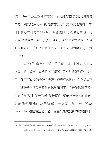(約三 16) ;以上說到神的愛,而人與人之間的愛可見的經 文是「親愛的弟兄阿,我們應當彼此相愛,為愛是從神來的, 凡有愛心的,都是由神而生, 且認識神。沒有愛心的,就不認 識神,因為神就是愛。」(約一 4:8) ;原來男女之愛,聖經 的也有記載:「你必戀慕你丈夫,你丈夫必管轄你。」(創  $\equiv$  16).

由以上可知聖經對「愛」的重視,「愛」衍生於人與人 之間,是一種不可或缺的牽引關係;那麼作為領袖的,這也 是一種不可缺少的表達和表現,甚至可讓領袖生命存活或死 亡。我不是非常要喜歡我的隊員和同事,但是作為領導者, 我必須愛他們;愛是忠誠,愛是協作,愛是尊重個人的尊嚴, 這 是 任 何 組 織 的 力 量 所 在 。 — 文 斯 . 隆巴迪 (Vince  $L$ ombardi)<sup>2</sup> 這裡說出愛「愛」建立組織或教會的重要原料,

 $\overline{a}$ 

 $2 \times 2 \times 2$ <br>  $\mathbb{R} \times 3$  德道就是服務》亨特 (J. C. Hunter) 著。張業非譯。 (The Servant: A Simple Story About the True Essence of Leadership)。北京:機械工業出版社,2004。第 55 頁。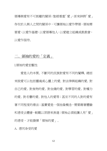領導與愛有不可割離的關係;聖經看重「愛」,原來神將「愛」 存在於人與人之間的關係中,可讓領袖以愛作帶領,領袖需 要愛,以愛作基礎,以愛領導他人,以愛建立組織或教教會, 以愛作服待。

# 二、領袖的愛的「定義」

I.領袖的愛宏觀性

愛是人的本質, 不斷同[的民族對](http://zh.wikipedia.org/wiki/%E6%B0%91%E6%97%8F)愛有不同的闡釋, 總括 來說愛可以包[括靈魂或](http://zh.wikipedia.org/wiki/%E9%9D%88%E9%AD%82)心靈上的愛、對法律與組織的愛、對 自己的愛、對食物的愛、[對金錢的](http://zh.wikipedia.org/wiki/%E9%87%91%E9%8C%A2)愛、對學習的愛、對權力 的愛、對名譽的愛、對他人的愛等;甚至不同的人對的愛有 著不同程度的看法;基實愛是一個抽象概念,需要藉著體驗 和感受去體會,較難以言語來表達;領袖必須能讓人有「愛」 的感受,才能發揮「領袖的愛」。

A. 感同身受的愛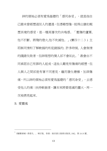神的領袖必須有愛為基礎的「感同身受」,就是指自 己雖未曾經歷過別人的遭遇,但憑藉想像,能得出猶如親 歷其境的感受,是一種高層次的共鳴感。「壓傷的蘆葦, 他不折斷。將殘的燈火,他不吹滅他。」(賽四十二 3 ) 主 耶穌同情和了解軟弱的和犯錯誤的; 許多時候, 人會無情 的踐踏失敗者,但神理想的僕人卻不會如此。<sup>3</sup> 教會由不 同承認自己有罪的人組成,這些人難免有傷痛的經歷,但 人與人之間卻是有著不同意見,繼而發生磨擦,加深傷 痛,所以神的領袖必須有愛為基礎的「感同身受」,去感 受他人的痛;扶持軟弱者,讓本來將要熄滅的靈火,再一 次被燃亮起來。

### B. 愛靈魂

 $\overline{a}$ 

 $3$  《屬靈領袖》孫德生。。增訂版。香港:福音證主協會出版部, 1982。第 18-19 頁。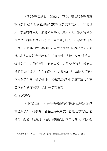神的領袖必須有「愛靈魂」的心。屬世的領袖的動 機在於自己;而屬靈領袖的動機在於愛神愛人。<sup>4</sup> 神愛世 人,願意將獨生兒子願意降生為人,為人而死,讓人得到永 遠生命;神的領袖如果沒有「愛靈魂」的心,在事奉從道路 上就十分困難,因為與神的方向背道而馳,向著相反方向前 進。神為人類創造天地萬物,在神眼中,人比一切都為重要; 領袖如明白人的重要性,便能以愛去對待身邊的人,就能以 愛的眼光去愛人;人在忙亂中,1 容易忽略人,事比人重要, 但在神的世界中或教會中,一切事情的發生是為了讓人有更 豐盛的生命而出現;人比一切都重要。

C. 恩慈的愛

 $\overline{a}$ 

 神所尋找的,不是那些把祂的話變成行為模式的基 督徒律法師,祂要的早那些已接受恩典,看見祂的榮光、能 同情、能愛、能滿足、能滿有恩慈而照顧失足的人;神所有

<sup>4</sup> 《屬靈領袖》孫德生。。增訂版。香港:福音證主協會出版部, 1982。第 24 頁。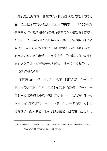人的就是充滿憐憫、恩慈的愛,因為這就是改變我們的力 量,並且也必成爲改變別人最有用的要素。' 神的領袖對 事奉中犯錯者是永遠不能移再走事奉之路,還是給予機會, 可能是一個不容易回答的問題;神是滿有恩慈的神,神仍然 愛他們,神的愛是滿有恩慈,即滿有盼望;神不是與罪妥協, 而是對人有永遠的機會,正是等待浪子的回轉;神的領袖需 要有恩慈的愛,需要給予他人盼望,就是浪子父親的心。 II. 領袖的愛微觀性

不同層次的「愛」在人生中出現:憐憫之愛:在年少時 居住在公共屋村,有不少流浪狗在屋村內遊盪;有一次,一 售餓得發慌的初生小狗在家門口徘徊不走,媽媽看見牠,便 立即用掃帚將他趕走,看見小狗身上少了一塊毛皮,又飢又 渴的樣子,惹人憐愛,牠樣子雖然醜陋,但實在不忍心叫他

 $\overline{a}$ 

 $5$  《領道者的剖析》(Profiles of a Leader)。柯渥(J. Cornwall)著。林約翰譯。台北:財 團法人基督教以琳書房,1988。第 173 頁。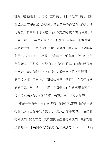捱餓,趁著媽媽不以為然,立即將小狗收藏起來,將小狗放 在垃圾房的隱密處,然後到小商店買牛奶給他喝,最後小狗 吃餉後,便立即呼呼大睡;這可說是對小狗「由憐生愛」; 夫妻之愛:「十年生死兩茫茫,不思量,自難忘。千里孤墳, 無處話淒涼。縱使相逢應不識,塵滿面,鬢如霜。夜來幽夢 忽還鄉,小軒窗,正梳妝。相顧無言,惟有淚千行。料得年 年腸斷處,明月夜,短松崗」(江城子 蘇軾) 蘇軾的詩詞寫 出掛念亡妻之情懷,字字有情,從數十文字的字裡行間,可 見用情之深,用意之切,這份情感乃由愛而生。在我們身邊 處處可見「愛」常在,「愛」在每個人的生命裡隨處可見, 如兄弟姐妹之愛、父母之愛、夫妻之愛、朋友之愛等。

愛是一種發乎人內心的情感。愛最佳的定義可能是主動 行動,以真心對待某個體(可以是人、物件或神),使整體 得到快樂。簡而言之,愛即主動使整體得到快樂;希臘語裡 將愛此字用作幾個不同的字詞,它們分別是「eros」、「philia」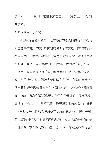及「agape」,我們一起往下去看看以下段落對上三個字詞 的解釋。

A. Eros ( $\epsilon \rho \omega$ ς érōs)

可理解為性愛與激情,追求感官的享受與擁有;其有時 亦會譯為肉體上的愛,即肉體的愛;這種愛是一種「本能」, 在大自然中,動物在發情期時會尋覓對象交配,以滿足生理 和心理的需要;神給與我們自由意志,我們對「愛」可以自 由運用,但若然被這種「愛」嚴重牽引的話,便會出現迷失 或沉溺的情況;當人們迷失或沉溺在與「性」有關的事情上, 就會將性愛與激情擺在首位,道德倫理一切也可能拋諸腦 後,Eros 比起任何事都重要;我們利用最近的「靚模現象」 與 Eros 作對比,「靚模現象」的著眼點全放於女性的身體 上,重點更是女性的胸脯或少穿衣服的身驅,她們的「美麗」 並未首先引起人們對美感的的欣賞,相反地首先引發的是 「性聯想」或「性幻想」,這一切與 Eros 的定義不謀而合;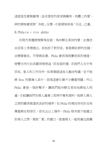這就是性愛與激情,追求感官的享受與擁有,肉體上的愛; 神的領袖會面對「本能」反應,亦是領袖容易「失足」之處。 B. Philia ( $\varphi \iota \lambda i \alpha$  philía)

在現代希臘語裡解為友誼,為冷靜且高尙的愛,此慨念 由亞里士多德提出。其包括了對朋友、家庭與社群的忠誠, 並需要善良、平等與友善。Philia 會因為現實原因而增進, 使雙方均可由其關係裡得益,即友誼的愛。在我們人生中有 朋友、家人和工作伙伴,如果要跟這些人融洽相處,定不能 將 Eros 的愛滲入其中,因為這會引發不少嚴重問題;所以 Philia 會是一個好幫手,讓我們能冷靜且高尚地與他人相 處,亦能讓我們在做人處事上取得平衡和順利,能將人與人 之間的關係推進到良好的境界;但 Philia 的情況存在於互相 尊重與互相信任,若失去以上條件,Philia 根本就不能建立 於兩人之間,莫說「愛」的建立,就連兩人一起相處也是難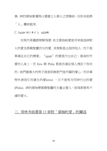事。神的領袖要懂得以愛建立人與人之間聯結,否則未能將 「人」團結起來。

C. Agape ( $\dot{\alpha} \gamma$  **ά** $\pi$   $n$  agáp**ē**)

在現代希臘語裡解為愛,其主要指純愛是用來描述神對 人的愛及那藉聖靈而生的愛。其焦點是去服待他人,而不是 單滿足自己的需要。"agape"的愛是付出自己,委身於所 愛的人身上,而 Eros 與 Philia 都是在滿足個人情況下存在 的;我們最偉大的例子就是耶穌對門徒所顯的愛心,而非事 物外表吸引而產生的愛(eros), 亦不是相方同時付出的愛 (Philia)。神的領袖需要藉聖靈的力量去愛人,因為那裡有不 滅的愛火。

# 三. 哥林多前書第 13 章對「領袖的愛」的闡述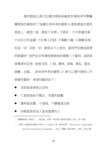還有誰能比無可匹敵的領袖保羅更有資格來列舉屬 靈領袖的資格呢?"保羅在哥林多前書第 13 章說愛基本意思 是耐心,愛是仁慈,愛是不自誇,不張狂,不作害羞的事, 不求自己的益處,不計算人的惡,不喜歡不義,只喜歡真理, 包容一切,忍耐一切,愛是永不止息的。當我們定睛這是愛 的彰顯時,我們並未有發現與領袖的愛聯上了關係。這就是 領導者的品格,就是忍耐、仁慈、謙卑、恭敬、無私、寬容、 誠實、忠誠。<sup>7</sup> 原來哥林多前書第 13 章可以看作領袖工作 與愛的關係,兩者的關係如下:

忍耐就是表現出自制

 $\overline{a}$ 

- 仁慈就是給予關注、欣賞和鼓勵
- 謙卑就真實、不虛假、不驕傲或自誇
- 恭敬就是把他人當成重要的人

 $7\sqrt{7/7}$  《忠僕 : 領導就是服務》 亨特 (J. C. Hunter) 著。張業非譯。 (The Servant: A Simple Story About the True Essence of Leadership)。北京:機械工業出版社,2004。第 62 頁。

<sup>6</sup> 《屬靈領袖》孫德生。。增訂版。香港:福音證主協會出版部, 1982。第 34 頁。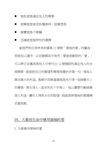- 無私就是滿足他人的需要
- 諒解就是當受到傷害時,放棄怨恨
- 誠實就是不欺騙
- 忠誠就是堅持你的選擇

當我們明白哥林多前書第 13 章對「領袖的愛」的闡述, 若能加以運用, 必定發揮其中效用; 愛就是動詞的「愛」, 可以將它定義為為他人辛勞付出,以便確認和滿足他人的合 理需要,就是把自己的願望和需要放置於非第一位,為他人 謀求最大的利益。聖經中耶穌基督就是先行者,他捨棄天上 的尊榮,降生為人,甚至死在十字架上,他以實際行動捨棄 個人利益,讓世人得到永生的盼望;祂就是將領袖的愛發揮 至最高點。

# 四、大衛到生命中應用領袖的愛

I. 大衛善用領袖的愛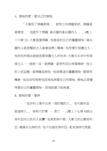A. 領袖的愛:愛自己的領袖

 「大衛到了掃羅那裡 、 就侍立在掃羅面前。掃羅甚 喜愛他 、 他就作了掃羅 拿兵器的拿兵器的人 。」(撒上 十六章 21) 大衛甚愛掃羅,他委身於自己的屬靈領袖;拿兵 器的人就是幫助主人拿著盾牌上戰場,他有責任保護主人; 他存在的理由就就是要保護主人的性命;大衛生生命中有兩 個主人,一是神,另一是掃羅,當哥利亞出來侮辱神,他立 即上前迎敵;當掃羅追殺他,他深愛這位屬靈領袖,縱使有 機會,他並沒有殺害他因為他深愛自己的領袖。領袖必須懂 得愛自己的屬靈領袖,因為能愛才能被愛。

B. 領袖的愛:愛神

 「從非利士營中出來一個討戰的人 、 名叫歌利亞 . 是迦特人 、 身高六肘零 一 虎口 ・ (撒上十七章 4)說出 哥利亞向以色列人挑釁,他更對神不敬;大衛立即出戰哥利 亞,藉著永生神的名,他不但殺死哥利亞,更成為時代英雄。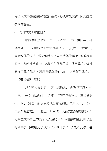每個入成為屬靈領袖的信仰基礎,必須首先愛神,因為這是 事奉的基礎。

C. 領袖的愛:尊重他人

「耶西就把幾個餅 、和一皮袋酒 、 並一隻山羊羔都 馱在驢上 、交給他兒子大衛送與掃羅 。」(撒上十六章 21) 大衛愛他的家人,當父親請他把東西送與掃羅時,他並沒有 說不,欣然接受委托,突顯他對父親的愛,就是尊重。領袖 要懂得尊重他人,因為懂得尊重他人的,才能獲得尊重。 D. 領袖的愛:順服

 「以色列人彼此說、 這上來的人、 你看見了麼. 他 上來、 是要向以色列 人罵陣. 若有能殺他的、 王必賞賜 他大財、 將自己的女兒給他為妻並在以 色列人中、 免他 父家納糧當差。」 (撒上十七章 25) 大衛其期望掃羅的大女 兒米拉成為自己的妻子及人生的伙伴;可惜掃羅把她給了亞 得列為妻;掃羅把小女兒給了大衛作妻子;大衛在此事上甚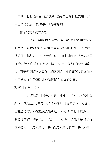不高興, 但他仍接受, 他的順服是將自己的利益放在一旁, 自己雖然受苦,仍順服在上掌權柄的。

E. 領袖的愛:建立友誼

「於是約拿單與大衛家結盟、說、願耶和華藉大衛 的仇敵追討背約的罪。約拿單因愛大衛如同愛自己的性命、 就使他再起誓。」(撒上廿章 16-17) 神把米甲的兄長約拿單 賜給大衛,作為他的親密朋友和知己。領袖不但要領導他 人,還要與國隊建立關係,維繫團隊良好的關係就是友誼, 懂得建立友誼的領袖才能讓團隊有適當的發展。

F. 領袖的愛:憐憫

「大衛就離開那裡、洮到亞杜蘭洞。他的弟兄和他父 親的全家聽見了、就都下到 他那裡。凡受窘迫的、欠債的、 心裡苦惱的、都聚集到大衛那裡·大衛就作他們 的頭目· 跟隨他的約有四百人。」(撒上廿二章 1-2) 大衛王接受了這 些跟隨者,不是因為他需要,而是因為他們的需要;大衛與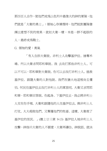那四百人合作,使他們成為以色列中最偉大的神的軍隊,他 們就是「大衛的勇士」;領袖心存憐憫時,他們能對團隊發 揮出意想不到的效果,就如大衛一樣,本是一群不起眼的 人,最終成為戰士。

G. 領袖的愛:勇氣

「有人告訴大衛說、非利士人攻擊基伊拉、搶奪禾 場。所以大衛求問耶和華說、我 去攻打那些非利士人、可 以不可以, 耶和華對大衛說、你可以去攻打非利十人、 拯救 基伊拉。跟隨大衛的人對他說、我們在猶大地這裡尚且懼 怕、何況往基伊拉去攻打非利士人的軍旅呢。大衛又求問耶 和華·耶和華回答說、你起身、下基伊拉去·我必將非利十 人交在你手裡。大衛和跟隨他的人往基伊拉去、與非利士人 打仗、大大殺敗他們、又奪獲他們的牲畜。這樣、大衛救了 基伊拉的居民。」(撒上廿三章 9-13) 基伊拉人被非利士人 攻擊,神指示大衛的人不願意,大衛再禱告、神說話、就決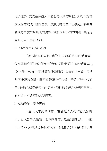定了這事,其實基伊拉人不醳配得大衛的幫忙。大衛面對群 眾反對的做法,經禱告後,以無比的勇氣作出決定。領袖的 愛就是由愛衍生無比的勇氣,敢於面對不同的挑戰,當認定 神的方向,勇往直前。

H. 領袖的愛:良好品格

「對跟隨他的人說、我的主、乃是耶和華的受膏者、 我在耶和華面前萬不敢伸手害他、因他是耶和華的受膏者。」 (撒上廿四章 6) 在亞杜蘭與掃羅相遇,大衛心中自責,因為 割下掃羅的衣襟,神不會帶領我們去做一些違背神性情的 事;神的品格就是領袖的品格,領袖的良好品格是因為愛人 的原故,不希望他人受傷害。

I. 領袖的愛:委身忠誠

 「猶大人來到希伯崙、在那裡膏大衛作猶大家的 王。有人告訴大衛說、埋葬掃羅的、是基列雅比人。」(撒 下二章 4) 大衛欣然接受猶大家,作他們的王,接受細小的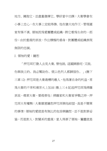地方、擁抱它,並盡量發揮它、學好當中功課;大衛學會在 小事上忠心,在大事上定能得勝。他在猶大地作王,管理國 家有條不紊。領袖因為愛團體或組織,將它看為生命的一部 份;由於重視的原故,作出積極的委身,對團體或組織表現 無限的忠誠。

J. 領袖的愛:饒恕

「押尼珥打發人去見大衛、替他說、這國歸誰呢・又說、 你與我立約、我必幫助你、使以色列人都歸服你。」(撒下 三章 12) 押尼珥是大衛最糟的敵人,他為著自身的利益,常 為大衛的不幸和痛苦火上加油;撒上三 6 記述押尼珥為掃羅 原故,尋索大衛,要殺害他;掃羅家和大衛家爭戰之時,押 尼珥大有權勢;大衛願意饒恕押尼珥與他結盟,真是不簡單 的事情;領袖的愛就是有無比的包容與饒恕,並不是對罪妥 協,而是對人,對關系的重視;當人得罪了領袖,屬靈就是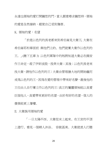永遠也領袖的愛打開饒恕的門,當人願意尋求饒恕時,領袖 的愛是全然接納,縱使自己受到傷害。

K. 領袖的愛:名望

「於是以色列的長老都來到希伯崙見大衛王、大衛在 希伯崙耶和華面前 與他們立約、他們就膏大衛作以色列的 王。」(撒下五章 3) 以色列軍隊中的叛將知道大衛必在錫安 作王命定,殺了伊斯波設,投奔大衛;其後;以色列長老來 找大衛,請他作以色列的王;大衛由管理猶大地的開始繼而 成為以色列的王,因為在愛的管理中帶來好名聲,最後他的 王位由人自行膏立作以色列的王;真正的屬靈領袖能以真愛 臣服他人,真愛帶來更好的名望,由於有好的名望,個人的 發展能更上層樓。

II. 大衛誤用領袖的愛

「一日太陽平西、大衛從床上起來、在王宮的平頂 上遊行、看見一個婦人沐浴、 容貌甚美。大衛就差人打聽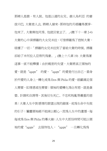那婦人是誰・有人說、他是以連的女兒、赫人烏利亞 的妻 拔示巴。大衛差人去、將婦人接來.那時他的月經纔得潔淨. 他來了、大衛與他同房、他就回家去了。」(撒下十一章 2-4) 大衛的心中深掃羅的大女兒米拉,可惜掃羅為了控制大衛, 破壞了一切;「掃羅的女兒米拉到了當給大衛的時候、掃羅 卻給了米何拉人亞得列為妻。」(撒上十八章 19) 大衛為著 這事一直不能釋懷;由於親密的失望,大衛將真正領袖的 愛,就是"agape" 的愛,"agape"的愛是付出自己,委身 於所愛的人身上,轉化成為 Eros 與 Philia 的愛,祇顧滿足個 人需要,如情感或性需要;領袖的愛轉化為佔有慾,就是貪 婪、計謀和自誇等,其後衍生死亡、不忠和叛亂等嚴重的惡 果;大衛人生中對感情的期望出現的錯落,成為生命中失敗 的引子;屬靈領袖絕不能掉以輕心,因為人生中的潰憾,每 每成為 Eros 與 Philia 的導火線;人生中大部份時間可能以領 袖的愛"agape" 去服侍他人,"agape" 一旦轉化為為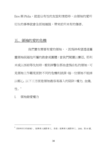Eros 與 Philia,武是佔有性的友誼和情慾時,由領袖的愛所 衍生的事奉就會全部被摧毀,帶來前所未有的傷害。

# 五、領袖的愛的危機

我們實在需要有愛的領袖,,,因為神希望透過屬 靈領袖祝福他所屬的教會或團體;當我們閱讀以賽亞、耶利 米或以西結等先知時,看到神警告那些虛偽自私的領袖,可 見領袖工作難免面對不同的危機和試探,每一位領袖不能掉 以輕心。以下三方面是領袖最容易落入的陷阱:權力、金錢、 性。<sup>8</sup>

I. 領袖錯愛權力

 $\overline{a}$ 

 $^8$  《與神同行的領袖》。復興華人國際事工。香港:復興華人國際事工, 2000。第 89 頁。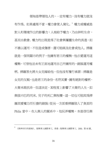領袖是帶領他人的,一定有權力,沒有權力就沒 有作為。如果處理不當,權力會使人腐化。<sup>9</sup> 權力或權威是 對人和環境作出的影響力;人被給予權力,乃由神和生命, 甚至由教會。權力的出現是為了社會與屬靈生命的長進,如 不善以運用,不但造成傷害,還可能禍及社會或他人。掃羅 就是一個明顯示的例子,他擁有君王的權勢,他亦愛運用這 權勢,可惜他並未有正直地運用自己所擁有的,錯誤運用權 柄。掃羅答允將大女兒嫁給他,但他沒有履行承諾;掃羅是 女兒的父親,也是君王的身份,名符其實,擁有絕對的權柄, 大衛未敢抗命,但這決定,某程度上影響了大衛的人生,如 與拔示巴的同床、兒子的死亡與叛變,這一切也可能因為掃 羅因愛權力而引發的錯誤;從另一方面看掃羅陷入了負面的 Philia 當中,在人與人的關系中,他玩弄權勢,本是信任與

 $\overline{a}$ 

<sup>9</sup> 《與神同行的領袖》。復興華人國際事工。香港:復興華人國際事工,2000。第 <sup>90</sup> 頁。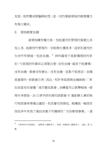友誼,突然變成欺騙與結怨;這一切的事跟領袖的錯愛權力 有莫大關系。

II. 領袖錯愛金錢

 $\overline{a}$ 

當領袖擁有權力後,他能運用和管理的資產比其 他人多。祂期待所管理的一切能夠生養眾多,這原則適用於 生命所有領域—包括金錢。<sup>10</sup> 神的國度不是教導理財的原 則,可是理財的事卻必須要注意:沒有金錢,福音不能廣傳; 沒有金錢,教會沒有會址;沒有金錢,宣教不能差派;金錢 是重要的,對教會亦然;因此,有許多試探與金錢掛鉤;「新 加坡當局在接獲「城市豐收教會」涉嫌濫用公款舉報後,經 兩年多調查,26 日清早終於趕在該教會 47 歲創辦人兼前執 行牧師康希準備出國前,到其豪宅拘捕他。報導說,檢控官 指他多年來為了資助其妻子何耀珊的「世俗歌唱事業」, 連

<sup>10</sup> 《與神同行的領袖》。復興華人國際事工。香港:復興華人國際事工,2000。第 <sup>97</sup> 頁。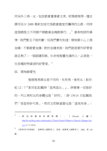同另外三男一女,包括教會董事會主席、財務經理等,擅自 挪用至少 2400 萬新加坡元為教會建堂而籌得的公款,同時 造假帳設立不同帳戶調動資金掩飾罪行。」<sup>11</sup> 康希牧師的事 情,我們暫且不能判斷,但我們實在知道,領袖要小心上理 金錢,不要錯愛金錢;對於金錢來說,我們就是要作好管家 就足夠了;一個跟隨耶穌、生命被聖靈充滿的人,必須是一 位各種財物資源的好管家。<sup>12</sup>

III. 領袖錯愛性

 $\overline{a}$ 

 聖經裡男與女是不同的,先有男,後有女;創世 紀12:7『創世記記載神「造男造女」」。神看著一切是好 的,所以男和女的身體也是「好的」;詩 139:14 亦記載我 們「受造奇妙可畏」,然而主耶穌基督也是「道成肉身」;

 $11$  〈 新 加 坡 康 希 牧 師 被 捕 〉 。 《 Miranda 小 舖 》 [http://tw.myblog.yahoo.com/miranda-123/article?mid=478&prev=-2&next=-2&page=1&s](http://tw.myblog.yahoo.com/miranda-123/article?mid=478&prev=-2&next=-2&page=1&sc=1) [c=1](http://tw.myblog.yahoo.com/miranda-123/article?mid=478&prev=-2&next=-2&page=1&sc=1) (1/ 11/ 2012)

 $12$  《與神同行的領袖》。復興華人國際事工。香港:復興華人國際事工, 2000。第 104 頁。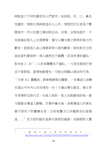神創造了不同的器官供人們使用,包括眼、耳、口、鼻及 性器官;情慾亦為神創造在人心內,情慾的衍生是為了繁 殖後代;所以性愛之事如能合法、合情、合理地進行,不 但能滿足兩人心生理需要,還可以讓夫妻之間得到莫大的 歡悅,就是個人身心理與孕育小孩的歡愉;神在創世之時 造亞當和夏娃時,兩人雖然衣不蔽體,卻沒有感到羞恥: 創世紀 2:25「二人赤身露體並不羞恥」,可見性愛或行房 並不是罪惡。當領袖錯愛性,可能出現難以挽回的行為。 「大埔 611 靈糧堂」教會揭發風化醜聞。一名傳道人涉嫌 在過去半年內七次性侵犯一名十六歲女學生教友。事主多 次受辱終忍無可忍,向家人哭訴,家人向教會投訴後,會 方僅要求傳道人辭職。而事件曝光後,涉案傳道人昨晨在 妻子陪同下到警署自首,目前被警方以非禮罪名扣留調 查。」<sup>13</sup> 性方面的錯失是無可挽救的錯誤,其禍害對人實

 $\overline{a}$ 

<sup>&</sup>lt;sup>13</sup> 〈 傳 道 人 認 七 度 性 侵 犯 女 生 〉 。 [http://blog.yahoo.com/\\_VXX7QZ7RYM27SW3ZNGHFKTVIXQ/articles/249528](http://blog.yahoo.com/_VXX7QZ7RYM27SW3ZNGHFKTVIXQ/articles/249528)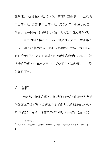在深遠。大衛與拔示巴同床後,帶來無盡破壞,不但毀壞 自己的家庭;先殺人夫,私生子死亡, 亂倫、兄弟相殘,押沙龍死,這一切可能與性犯罪掛鉤。

當領袖陷入極端的 Eros, 單靠個人力量, 實在難以 自拔;如要從中得釋放,必須倚靠禱告的大能;我們必須 耐心接受訓練,更加倚靠神,以勝過生命所受的攻擊;<sup>14</sup> 對 抗情慾的事,必須攻克己身,叫身服我,讓肉體死亡,倚 靠聖靈而活。

# 六、結語

 $\overline{a}$ 

Agape 另一特別之處,就是愛所不能愛,由耶穌對門徒 所顯領導的愛可見,這愛具有是推動力;馬太福音 26 章 69 至 75 節說「彼得在外面院子裡坐著、有一個使女前來說、

<sup>(1/11/2012)</sup>

<sup>14</sup> 《與神同行的領袖》。復興華人國際事工。香港:復興華人國際事工,2000。第 <sup>113</sup> 頁。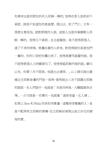你素來也是同那加利利人耶穌一夥的。彼得在眾人面前卻不 承認、說我不知道你的是甚麼。既出去、到了門口、又有一 個使女看見他、就對那裡的人說、這個人也是同拿撒勒人耶 穌一夥的。彼得又不承認、並且起誓說、我不認得那個人。 過了不多的時候、旁邊站著的人前來、對彼得說你真是他們 一黨的、你的口音把你露出來了。彼得就發咒起誓的說、我 不認得那個人立時雞就叫了。彼得想起耶穌所說的話、雞叫 以先、你要三次不認我。他就出去痛哭。」以上經文說出最 接近主耶穌身邊的門徒—彼得,竟然說出三次不認識主耶穌 的說話,在人們眼中,他就是「本是同林鳥,大難臨頭各自 飛」, 亦可說是一名懦夫, 他就像「渦街老鼠,乞人憎」。 如果以 Eros 和 Philia 的原則來衡量,這種背信棄義的人,真 是不配得有主耶穌的領導,但主耶穌卻表現出真正非凡的領 袖的愛。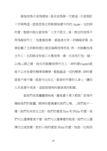最後彼得亦成為領袖,甚至成為第一代教皇,亦是倒釘 十字架殉道,就是因為主耶穌領袖愛中的的 Agape,也即神 的愛;聖經中說出當彼得「三次不認主」後,喪志的彼得不 再為福音作工,他重操故業,當起漁夫來;約翰福音第 26 章記載了主耶穌到提比哩亞海與彼得相見,再一次鼓勵他為 主作工;主耶穌沒有破口大罵彼得一番,亦沒有打他一頓, 以洩心頭之憤,祂反而鼓勵彼得作主工;神的愛(Agape)就 是不以世俗愛的標準為標準,要超越這一切的標準;神的愛 就是不捨不棄,就是付出自己,委身於所愛的人身上,讓別 人在真愛中成長,這就是領袖的最崇高的彰顯。

 當我們成為屬靈領袖後,羅馬書 5 章 5 節說「因為所 賜給我們的聖靈、將神的愛澆灌在我們心裡。」我們是不一 樣,我們在未信主之前,我們的愛是 Eros 和 Philia 的愛,我 們可以選擇愛或不愛,我們可以選擇愛的程度,我們可以選 擇付出或放棄;對於小狗的愛是 Philia 的愛,牠是一位狗朋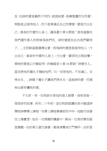友;但神的愛是截然不同的,就是純愛,是藉聖靈而生的愛; 焦點是去服待他人,而不是單滿足自己的需要;愛是付出自 己,委身於所愛的人身上。羅馬書 5 章 8 節說「惟有基督在 我們還作罪人的時候為我們死、神的愛就在此向我們顯明 了。」主耶穌基督選擇夫愛,因為神的愛就是服待他人,付 出自己,委身於所愛的人身上;付出愛,關係而出現改變, 領袖的愛是以行動証明,約翰福音 3 章 16 節說「神愛世人、 甚至將他的獨生子賜給他們、叫一切信他的、不至滅亡、反 得永生。」神賜下獨生子讓我們得永生,這是神的愛,而領 袖也要有犧牲的愛。

不久前,有一位牧師分享他的個人經歷,我相信是一 個很好的故事。約在二十年前,這位牧師就讀於長州建道神 學院神學學士課程,在學士課程畢業前的半年,他剛巧快要 往工場實習;他在一次偶爾的機會中,與另一位男同學在飯 堂嬉戲,由於兩人產生誤會,最後演變成打鬥事件;由於是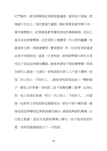打鬥事件,須交神學院紀律委員會處理,當時他不服氣,認 為錯不在自己,為何要淮行處罰,與紀律委員會爭辯不休; 事件愈鬧愈大,紀律委員會考慮取消他的畢業資格,他自己 甚至決定放棄學業;由於須到工場實習,所以聆訊繼續,他 最後到元朗一間教會實習;實習期間,有一位在校老師遠道 由長州來探訪他,這是一位老牧師,老牧師帶備生果和日常 用品千里沼沼來與他攀談;最後希望他不要放棄學業,因為 在神在人都是一大損失,老牧師說作神工人不能不謙卑,因 為「非以役人,乃役於人。」最後老牧師為他送上一雙新鞋 子,著他立即穿著,老牧師二話不說幫他繫上鞋帶,此時此 刻,他立刻淚如泉湧,明白「非以役人,乃役於人。」的道 理,他更明白老牧師對他憐愛有加,那份不捨不棄的愛,最 後他服從神學院紀律委員會的裁決,最後能夠順利畢業,自 行創立教會,甚至完成教牧學博士學位;若不是老牧師的 愛,我相信基督教就少了一位牧師。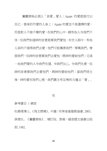屬靈領袖必須以「真愛」愛人;Agape 的愛就是付出 自己,委身於所愛的人身上;Agape 的愛並不是選擇的愛, 而是對人不捨不棄的愛;在我們的心中,總有些人令我們不 快,但我們知道神的旨意是要我們愛他,在世人眼中,有些 人直的不值得我們去愛,他們可能傷害我們,辱罵我們、憎 惡我們,但神的旨意要我們去愛他,將神的愛給他們;又或 一些我們愛的人令我們失望、令我們灰心、令我們失意,但 神的旨意要我們去愛他們,將神的愛給他們;當我們信主 後,神的愛在我們心裡,我們靠主有足夠的力量去「愛」。

### 完

### 參考書目 / 網頁

杜維理博士。《為主燃燒》。中國:河南省基督教協會, 2003。 孫德生。《屬靈領袖》。增訂版。香港:福音證主協會出版 部, 1982。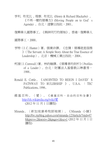亨利. 布克比 、理察. 布克比 (Henry & Richard Blackaby) 。 《不再一樣的領導力》(Moving People on to God's Agenda) 。台北:道聲出版社,2001。

復興華人國際事工。《與神同行的領袖》。香港:復興華人

國際事工,2000。

- 亨特(J. C. Hunter)著。張業非譯。《忠僕:領導就是服務 》(The Servant: A Simple Story About the True Essence of Leadership)。北京:機械工業出版社, 2004。
- 柯渥(J. Cornwall)著。林約翰譯。《領導者的剖析》(Profiles of a Leader)。台北:財團法人基督教以琳書房, 1988。
- Ronald E. Cottle。《ANOINTED TO REIGN I DAVID'S PATNWAY TO RULERSHIP 》 。 U.S.A. : TEC Publications, 1996。
- 維 基 百 科 。 〈 愛 〉 。 《 維 基 百 科 , 自 由 的 百 科 全 書 》 [http://zh.wikipedia.org/wiki/](http://zh.wikipedia.org/wiki/愛)愛 (2012 年 11 月 1 日讀取)
- Miranda。〈新加坡康希牧師被捕〉。《Miranda 小舖》 [http://tw.myblog.yahoo.com/miranda-123/article?mid=47](http://tw.myblog.yahoo.com/miranda-123/article?mid=478&prev=-2&next=-2&page=1&sc=1) [8&prev=-2&next=-2&page=1&sc=1](http://tw.myblog.yahoo.com/miranda-123/article?mid=478&prev=-2&next=-2&page=1&sc=1) (2012 年 11 月 1 日 讀取)